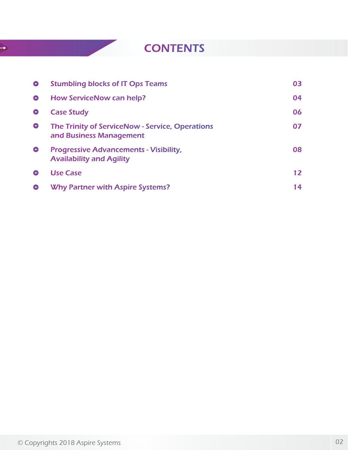# **CONTENTS**

| $\bullet$ | <b>Stumbling blocks of IT Ops Teams</b>                                          | 03                |
|-----------|----------------------------------------------------------------------------------|-------------------|
| $\bullet$ | <b>How ServiceNow can help?</b>                                                  | 04                |
| $\bullet$ | <b>Case Study</b>                                                                | 06                |
| $\bullet$ | The Trinity of ServiceNow - Service, Operations<br>and Business Management       | 07                |
| $\bullet$ | <b>Progressive Advancements - Visibility,</b><br><b>Availability and Agility</b> | 08                |
| $\bullet$ | <b>Use Case</b>                                                                  | $12 \ \mathrm{ }$ |
| Θ         | <b>Why Partner with Aspire Systems?</b>                                          | 14                |

 $\rightarrow$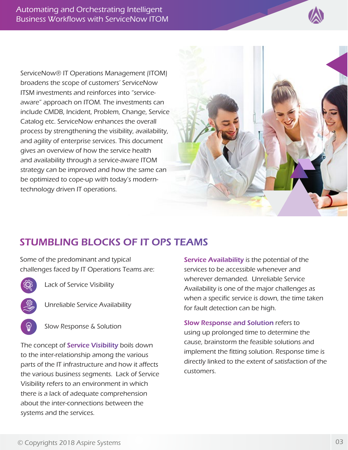

ServiceNow® IT Operations Management (ITOM) broadens the scope of customers' ServiceNow ITSM investments and reinforces into "serviceaware" approach on ITOM. The investments can include CMDB, Incident, Problem, Change, Service Catalog etc. ServiceNow enhances the overall process by strengthening the visibility, availability, and agility of enterprise services. This document gives an overview of how the service health and availability through a service-aware ITOM strategy can be improved and how the same can be optimized to cope-up with today's moderntechnology driven IT operations.



## STUMBLING BLOCKS OF IT OPS TEAMS

Some of the predominant and typical challenges faced by IT Operations Teams are:



Lack of Service Visibility

- Unreliable Service Availability
- Slow Response & Solution

The concept of Service Visibility boils down to the inter-relationship among the various parts of the IT infrastructure and how it affects the various business segments. Lack of Service Visibility refers to an environment in which there is a lack of adequate comprehension about the inter-connections between the systems and the services.

Service Availability is the potential of the services to be accessible whenever and wherever demanded. Unreliable Service Availability is one of the major challenges as when a specific service is down, the time taken for fault detection can be high.

Slow Response and Solution refers to using up prolonged time to determine the cause, brainstorm the feasible solutions and implement the fitting solution. Response time is directly linked to the extent of satisfaction of the customers.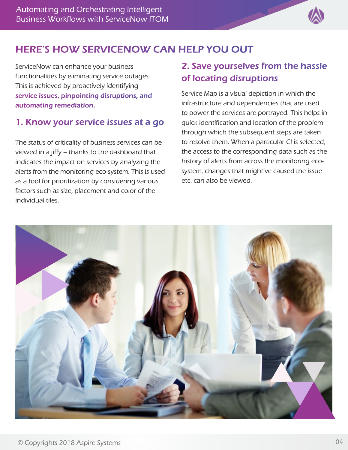

## HERE'S HOW SERVICENOW CAN HELP YOU OUT

ServiceNow can enhance your business functionalities by eliminating service outages. This is achieved by proactively identifying service issues, pinpointing disruptions, and automating remediation.

#### 1. Know your service issues at a go

The status of criticality of business services can be viewed in a jiffy – thanks to the dashboard that indicates the impact on services by analyzing the alerts from the monitoring eco-system. This is used as a tool for prioritization by considering various factors such as size, placement and color of the individual tiles.

## 2. Save yourselves from the hassle of locating disruptions

Service Map is a visual depiction in which the infrastructure and dependencies that are used to power the services are portrayed. This helps in quick identification and location of the problem through which the subsequent steps are taken to resolve them. When a particular CI is selected, the access to the corresponding data such as the history of alerts from across the monitoring ecosystem, changes that might've caused the issue etc. can also be viewed.

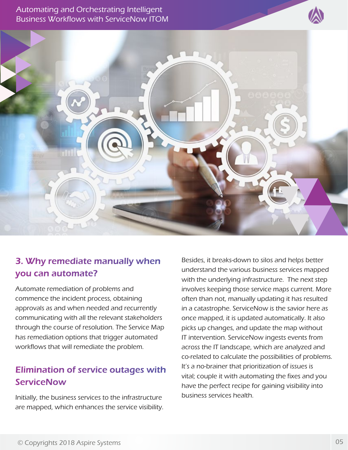© Copyrights 2018 Aspire Systems 05

Automating and Orchestrating Intelligent Business Workflows with ServiceNow ITOM

## 3. Why remediate manually when you can automate?

Automate remediation of problems and commence the incident process, obtaining approvals as and when needed and recurrently communicating with all the relevant stakeholders through the course of resolution. The Service Map has remediation options that trigger automated workflows that will remediate the problem.

## Elimination of service outages with **ServiceNow**

Initially, the business services to the infrastructure are mapped, which enhances the service visibility.

Besides, it breaks-down to silos and helps better understand the various business services mapped with the underlying infrastructure. The next step involves keeping those service maps current. More often than not, manually updating it has resulted in a catastrophe. ServiceNow is the savior here as once mapped, it is updated automatically. It also picks up changes, and update the map without IT intervention. ServiceNow ingests events from across the IT landscape, which are analyzed and co-related to calculate the possibilities of problems. It's a no-brainer that prioritization of issues is vital; couple it with automating the fixes and you have the perfect recipe for gaining visibility into business services health.

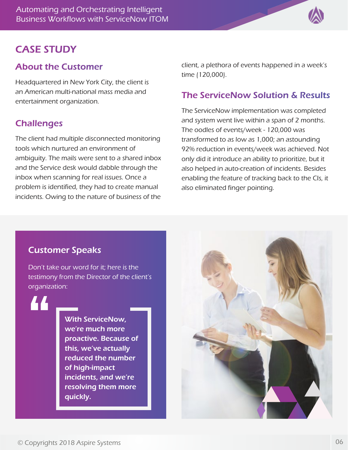

#### CASE STUDY

#### About the Customer

Headquartered in New York City, the client is an American multi-national mass media and entertainment organization.

#### **Challenges**

The client had multiple disconnected monitoring tools which nurtured an environment of ambiguity. The mails were sent to a shared inbox and the Service desk would dabble through the inbox when scanning for real issues. Once a problem is identified, they had to create manual incidents. Owing to the nature of business of the client, a plethora of events happened in a week's time (120,000).

#### The ServiceNow Solution & Results

The ServiceNow implementation was completed and system went live within a span of 2 months. The oodles of events/week - 120,000 was transformed to as low as 1,000; an astounding 92% reduction in events/week was achieved. Not only did it introduce an ability to prioritize, but it also helped in auto-creation of incidents. Besides enabling the feature of tracking back to the CIs, it also eliminated finger pointing.

#### Customer Speaks

Don't take our word for it; here is the testimony from the Director of the client's organization:

44

With ServiceNow, we're much more proactive. Because of this, we've actually reduced the number of high-impact incidents, and we're resolving them more quickly.

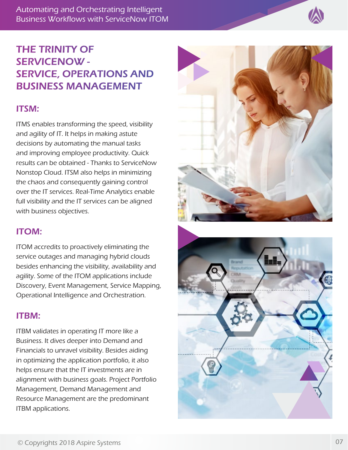Automating and Orchestrating Intelligent Business Workflows with ServiceNow ITOM



## THE TRINITY OF SERVICENOW - SERVICE, OPERATIONS AND BUSINESS MANAGEMENT

#### ITSM:

ITMS enables transforming the speed, visibility and agility of IT. It helps in making astute decisions by automating the manual tasks and improving employee productivity. Quick results can be obtained - Thanks to ServiceNow Nonstop Cloud. ITSM also helps in minimizing the chaos and consequently gaining control over the IT services. Real-Time Analytics enable full visibility and the IT services can be aligned with business objectives.

#### ITOM:

ITOM accredits to proactively eliminating the service outages and managing hybrid clouds besides enhancing the visibility, availability and agility. Some of the ITOM applications include Discovery, Event Management, Service Mapping, Operational Intelligence and Orchestration.

#### ITBM:

ITBM validates in operating IT more like a Business. It dives deeper into Demand and Financials to unravel visibility. Besides aiding in optimizing the application portfolio, it also helps ensure that the IT investments are in alignment with business goals. Project Portfolio Management, Demand Management and Resource Management are the predominant ITBM applications.



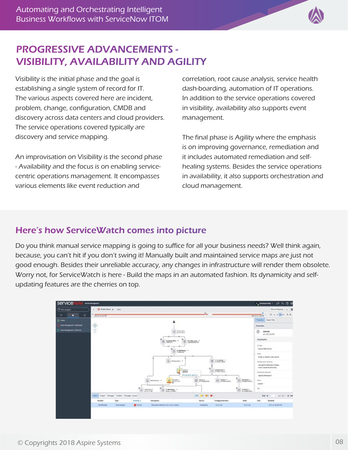

## PROGRESSIVE ADVANCEMENTS - VISIBILITY, AVAILABILITY AND AGILITY

Visibility is the initial phase and the goal is establishing a single system of record for IT. The various aspects covered here are incident, problem, change, configuration, CMDB and discovery across data centers and cloud providers. The service operations covered typically are discovery and service mapping.

An improvisation on Visibility is the second phase - Availability and the focus is on enabling servicecentric operations management. It encompasses various elements like event reduction and

correlation, root cause analysis, service health dash-boarding, automation of IT operations. In addition to the service operations covered in visibility, availability also supports event management.

The final phase is Agility where the emphasis is on improving governance, remediation and it includes automated remediation and selfhealing systems. Besides the service operations in availability, it also supports orchestration and cloud management.

### Here's how ServiceWatch comes into picture

Do you think manual service mapping is going to suffice for all your business needs? Well think again, because, you can't hit if you don't swing it! Manually built and maintained service maps are just not good enough. Besides their unreliable accuracy, any changes in infrastructure will render them obsolete. Worry not, for ServiceWatch is here - Build the maps in an automated fashion. Its dynamicity and selfupdating features are the cherries on top.

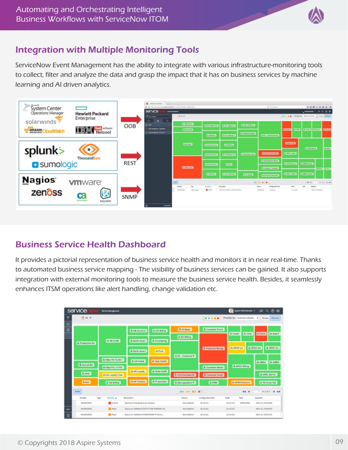

### Integration with Multiple Monitoring Tools

ServiceNow Event Management has the ability to integrate with various infrastructure-monitoring tools to collect, filter and analyze the data and grasp the impact that it has on business services by machine learning and AI driven analytics.



#### Business Service Health Dashboard

It provides a pictorial representation of business service health and monitors it in near real-time. Thanks to automated business service mapping - The visibility of business services can be gained. It also supports integration with external monitoring tools to measure the business service health. Besides, it seamlessly enhances ITSM operations like alert handling, change validation etc.

| service                                                                     | <b>Service Management</b> |                                        |                    |                     |                    | <b>COL</b>            | System Mininkerator = | PQCD                        |
|-----------------------------------------------------------------------------|---------------------------|----------------------------------------|--------------------|---------------------|--------------------|-----------------------|-----------------------|-----------------------------|
| <b>DAIT</b><br><br>Priorities by: Dusiness critically<br>٠<br><b>Groups</b> |                           |                                        |                    |                     |                    |                       |                       | Services                    |
| ø                                                                           |                           | th US Account                          | sh UK Billing      | <b>E All Major</b>  | th Gustomer Purch  | th Carp<br>di Crediti |                       | th Cera<br>di Asia P        |
| an Production Au                                                            | th GA Audit               | th North Ameri                         | di Purchasing      | A EU Biting         |                    |                       |                       |                             |
|                                                                             |                           | di North Ameri                         | da Prod            | rh EU - Customer P  | di Customer Manag  | <b>JAPACLO</b>        |                       | rh APAC Do<br>di APAC Cu    |
|                                                                             | ch http://10.15.200.1     | db UK Portal                           | di User Veriño     |                     |                    |                       |                       | di AMEA<br>di ANEA          |
| A torrest 88                                                                | ah Hautin 1.0.112:        | ds UK Loyalty                          | di. Order fullfill |                     | A. Customer Histor |                       | di APAC Billing       |                             |
| da test2                                                                    | m US Loyalty Club         |                                        |                    | th Edit Purchase Or | th Customer Email  |                       |                       | di UNX Server               |
| di test                                                                     | di US Billing             | ds UK Custors                          | di Production      | di Demographica R   | di CRM             |                       | ds APAC Account       | di 10 Linear Cis-           |
| <b>Aisrts</b>                                                               |                           |                                        |                    | <b>HO MT M3 M1</b>  |                    |                       | 44 4                  | v<br>16.5.02.5<br>$B - B B$ |
| <b>Runda</b> r                                                              | Type<br>Devority &        | Description                            |                    | Source              | Configuration have | Rode                  | Tank                  | Updated                     |
| Alayster200064                                                              | Critical                  | Spectrum Disk-quota is out of space    |                    | Sanicalitatch       | 303.0.041          | 151.5141              | 0900010082            | 2015-10-13:04:23:06         |
| Alert00100003                                                               | <b>B</b> Major            | Spectrum RadNew STARTUP AND RUNNING CO |                    | Servicenture/v      | 10.1.0.101         | 111.5.101             |                       | 2015-10-1300-3426           |
| May 030 1000 2                                                              | <b>CO</b> Major           | Spectrum RadNare OVASSS DOWN P 10.0.1  |                    | Service Marich      | 10.1.0.100         | 10.1.0.101            |                       | 2015-10-1904.04.04          |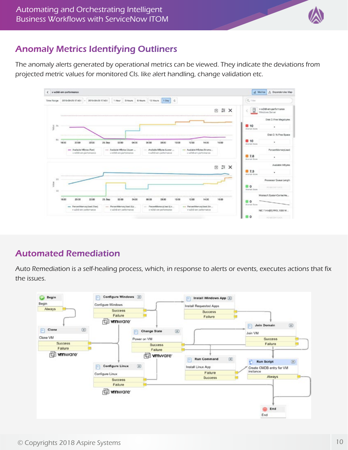

### Anomaly Metrics Identifying Outliners

The anomaly alerts generated by operational metrics can be viewed. They indicate the deviations from projected metric values for monitored CIs. like alert handling, change validation etc.



#### Automated Remediation

Auto Remediation is a self-healing process, which, in response to alerts or events, executes actions that fix the issues.

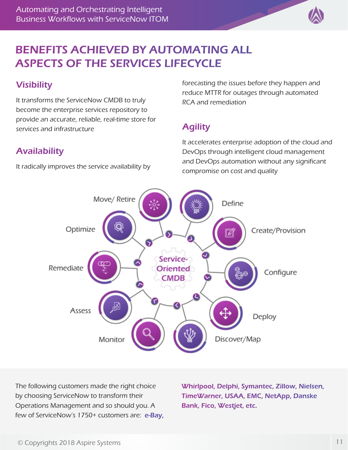

# BENEFITS ACHIEVED BY AUTOMATING ALL ASPECTS OF THE SERVICES LIFECYCLE

## **Visibility**

It transforms the ServiceNow CMDB to truly become the enterprise services repository to provide an accurate, reliable, real-time store for services and infrastructure

## Availability

It radically improves the service availability by

forecasting the issues before they happen and reduce MTTR for outages through automated RCA and remediation

## **Agility**

It accelerates enterprise adoption of the cloud and DevOps through intelligent cloud management and DevOps automation without any significant compromise on cost and quality



The following customers made the right choice by choosing ServiceNow to transform their Operations Management and so should you. A few of ServiceNow's 1750+ customers are: e-Bay, Whirlpool, Delphi, Symantec, Zillow, Nielsen, TimeWarner, USAA, EMC, NetApp, Danske Bank, Fico, Westjet, etc.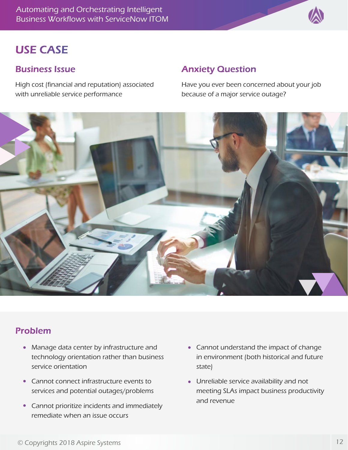Automating and Orchestrating Intelligent Business Workflows with ServiceNow ITOM

# USE CASE

#### Business Issue

High cost (financial and reputation) associated with unreliable service performance

#### Anxiety Question

Have you ever been concerned about your job because of a major service outage?



#### Problem

- Manage data center by infrastructure and technology orientation rather than business service orientation
- Cannot connect infrastructure events to services and potential outages/problems
- Cannot prioritize incidents and immediately remediate when an issue occurs
- Cannot understand the impact of change in environment (both historical and future state)
- Unreliable service availability and not meeting SLAs impact business productivity and revenue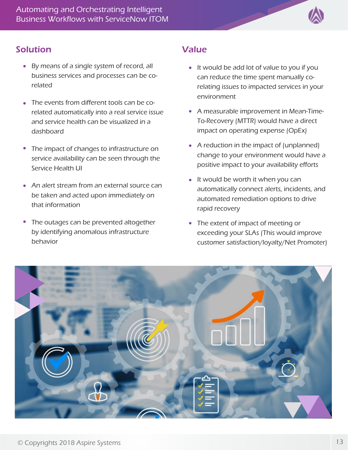

#### Solution **Value**

- By means of a single system of record, all business services and processes can be corelated
- The events from different tools can be corelated automatically into a real service issue and service health can be visualized in a dashboard
- The impact of changes to infrastructure on  $\bullet$ service availability can be seen through the Service Health UI
- An alert stream from an external source can be taken and acted upon immediately on that information
- The outages can be prevented altogether  $\bullet$ by identifying anomalous infrastructure behavior

- It would be add lot of value to you if you can reduce the time spent manually corelating issues to impacted services in your environment
- A measurable improvement in Mean-Time-To-Recovery (MTTR) would have a direct impact on operating expense (OpEx)
- A reduction in the impact of (unplanned) change to your environment would have a positive impact to your availability efforts
- $\bullet$  It would be worth it when you can automatically connect alerts, incidents, and automated remediation options to drive rapid recovery
- The extent of impact of meeting or exceeding your SLAs (This would improve customer satisfaction/loyalty/Net Promoter)

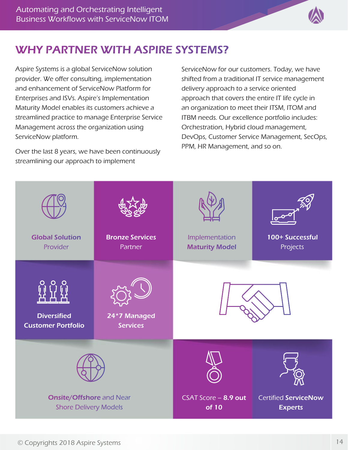

# WHY PARTNER WITH ASPIRE SYSTEMS?

Aspire Systems is a global ServiceNow solution provider. We offer consulting, implementation and enhancement of ServiceNow Platform for Enterprises and ISVs. Aspire's Implementation Maturity Model enables its customers achieve a streamlined practice to manage Enterprise Service Management across the organization using ServiceNow platform.

Over the last 8 years, we have been continuously streamlining our approach to implement

ServiceNow for our customers. Today, we have shifted from a traditional IT service management delivery approach to a service oriented approach that covers the entire IT life cycle in an organization to meet their ITSM, ITOM and ITBM needs. Our excellence portfolio includes: Orchestration, Hybrid cloud management, DevOps, Customer Service Management, SecOps, PPM, HR Management, and so on.